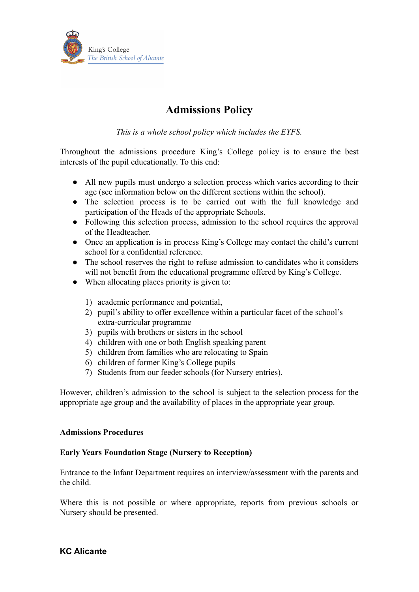

# **Admissions Policy**

*This is a whole school policy which includes the EYFS.*

Throughout the admissions procedure King's College policy is to ensure the best interests of the pupil educationally. To this end:

- All new pupils must undergo a selection process which varies according to their age (see information below on the different sections within the school).
- The selection process is to be carried out with the full knowledge and participation of the Heads of the appropriate Schools.
- Following this selection process, admission to the school requires the approval of the Headteacher.
- Once an application is in process King's College may contact the child's current school for a confidential reference.
- The school reserves the right to refuse admission to candidates who it considers will not benefit from the educational programme offered by King's College.
- When allocating places priority is given to:
	- 1) academic performance and potential,
	- 2) pupil's ability to offer excellence within a particular facet of the school's extra-curricular programme
	- 3) pupils with brothers or sisters in the school
	- 4) children with one or both English speaking parent
	- 5) children from families who are relocating to Spain
	- 6) children of former King's College pupils
	- 7) Students from our feeder schools (for Nursery entries).

However, children's admission to the school is subject to the selection process for the appropriate age group and the availability of places in the appropriate year group.

# **Admissions Procedures**

# **Early Years Foundation Stage (Nursery to Reception)**

Entrance to the Infant Department requires an interview/assessment with the parents and the child.

Where this is not possible or where appropriate, reports from previous schools or Nursery should be presented.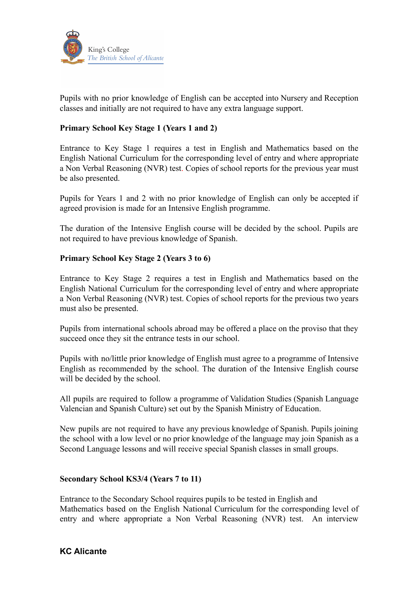

Pupils with no prior knowledge of English can be accepted into Nursery and Reception classes and initially are not required to have any extra language support.

# **Primary School Key Stage 1 (Years 1 and 2)**

Entrance to Key Stage 1 requires a test in English and Mathematics based on the English National Curriculum for the corresponding level of entry and where appropriate a Non Verbal Reasoning (NVR) test. Copies of school reports for the previous year must be also presented.

Pupils for Years 1 and 2 with no prior knowledge of English can only be accepted if agreed provision is made for an Intensive English programme.

The duration of the Intensive English course will be decided by the school. Pupils are not required to have previous knowledge of Spanish.

# **Primary School Key Stage 2 (Years 3 to 6)**

Entrance to Key Stage 2 requires a test in English and Mathematics based on the English National Curriculum for the corresponding level of entry and where appropriate a Non Verbal Reasoning (NVR) test. Copies of school reports for the previous two years must also be presented.

Pupils from international schools abroad may be offered a place on the proviso that they succeed once they sit the entrance tests in our school.

Pupils with no/little prior knowledge of English must agree to a programme of Intensive English as recommended by the school. The duration of the Intensive English course will be decided by the school.

All pupils are required to follow a programme of Validation Studies (Spanish Language Valencian and Spanish Culture) set out by the Spanish Ministry of Education.

New pupils are not required to have any previous knowledge of Spanish. Pupils joining the school with a low level or no prior knowledge of the language may join Spanish as a Second Language lessons and will receive special Spanish classes in small groups.

# **Secondary School KS3/4 (Years 7 to 11)**

Entrance to the Secondary School requires pupils to be tested in English and Mathematics based on the English National Curriculum for the corresponding level of entry and where appropriate a Non Verbal Reasoning (NVR) test. An interview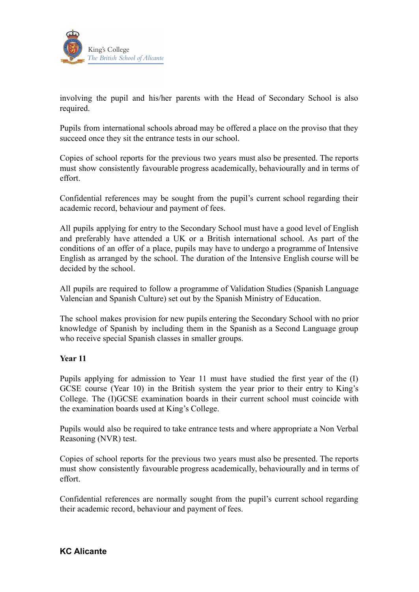

involving the pupil and his/her parents with the Head of Secondary School is also required.

Pupils from international schools abroad may be offered a place on the proviso that they succeed once they sit the entrance tests in our school.

Copies of school reports for the previous two years must also be presented. The reports must show consistently favourable progress academically, behaviourally and in terms of effort.

Confidential references may be sought from the pupil's current school regarding their academic record, behaviour and payment of fees.

All pupils applying for entry to the Secondary School must have a good level of English and preferably have attended a UK or a British international school. As part of the conditions of an offer of a place, pupils may have to undergo a programme of Intensive English as arranged by the school. The duration of the Intensive English course will be decided by the school.

All pupils are required to follow a programme of Validation Studies (Spanish Language Valencian and Spanish Culture) set out by the Spanish Ministry of Education.

The school makes provision for new pupils entering the Secondary School with no prior knowledge of Spanish by including them in the Spanish as a Second Language group who receive special Spanish classes in smaller groups.

# **Year 11**

Pupils applying for admission to Year 11 must have studied the first year of the (I) GCSE course (Year 10) in the British system the year prior to their entry to King's College. The (I)GCSE examination boards in their current school must coincide with the examination boards used at King's College.

Pupils would also be required to take entrance tests and where appropriate a Non Verbal Reasoning (NVR) test.

Copies of school reports for the previous two years must also be presented. The reports must show consistently favourable progress academically, behaviourally and in terms of effort.

Confidential references are normally sought from the pupil's current school regarding their academic record, behaviour and payment of fees.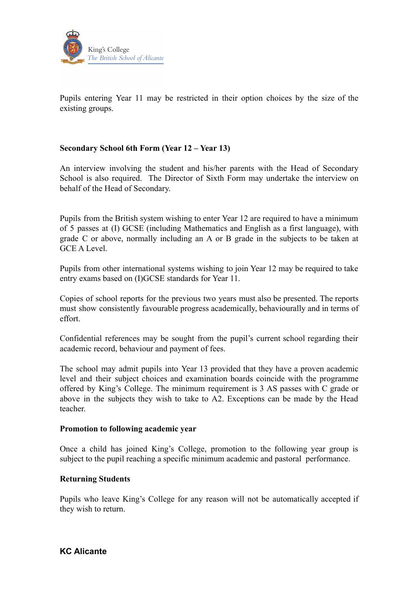

Pupils entering Year 11 may be restricted in their option choices by the size of the existing groups.

# **Secondary School 6th Form (Year 12 – Year 13)**

An interview involving the student and his/her parents with the Head of Secondary School is also required. The Director of Sixth Form may undertake the interview on behalf of the Head of Secondary.

Pupils from the British system wishing to enter Year 12 are required to have a minimum of 5 passes at (I) GCSE (including Mathematics and English as a first language), with grade C or above, normally including an A or B grade in the subjects to be taken at GCE A Level.

Pupils from other international systems wishing to join Year 12 may be required to take entry exams based on (I)GCSE standards for Year 11.

Copies of school reports for the previous two years must also be presented. The reports must show consistently favourable progress academically, behaviourally and in terms of effort.

Confidential references may be sought from the pupil's current school regarding their academic record, behaviour and payment of fees.

The school may admit pupils into Year 13 provided that they have a proven academic level and their subject choices and examination boards coincide with the programme offered by King's College. The minimum requirement is 3 AS passes with C grade or above in the subjects they wish to take to A2. Exceptions can be made by the Head teacher.

# **Promotion to following academic year**

Once a child has joined King's College, promotion to the following year group is subject to the pupil reaching a specific minimum academic and pastoral performance.

# **Returning Students**

Pupils who leave King's College for any reason will not be automatically accepted if they wish to return.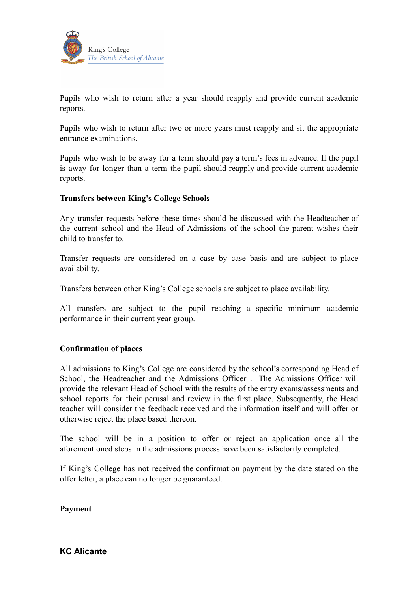

Pupils who wish to return after a year should reapply and provide current academic reports.

Pupils who wish to return after two or more years must reapply and sit the appropriate entrance examinations.

Pupils who wish to be away for a term should pay a term's fees in advance. If the pupil is away for longer than a term the pupil should reapply and provide current academic reports.

# **Transfers between King's College Schools**

Any transfer requests before these times should be discussed with the Headteacher of the current school and the Head of Admissions of the school the parent wishes their child to transfer to.

Transfer requests are considered on a case by case basis and are subject to place availability.

Transfers between other King's College schools are subject to place availability.

All transfers are subject to the pupil reaching a specific minimum academic performance in their current year group.

# **Confirmation of places**

All admissions to King's College are considered by the school's corresponding Head of School, the Headteacher and the Admissions Officer . The Admissions Officer will provide the relevant Head of School with the results of the entry exams/assessments and school reports for their perusal and review in the first place. Subsequently, the Head teacher will consider the feedback received and the information itself and will offer or otherwise reject the place based thereon.

The school will be in a position to offer or reject an application once all the aforementioned steps in the admissions process have been satisfactorily completed.

If King's College has not received the confirmation payment by the date stated on the offer letter, a place can no longer be guaranteed.

**Payment**

**KC Alicante**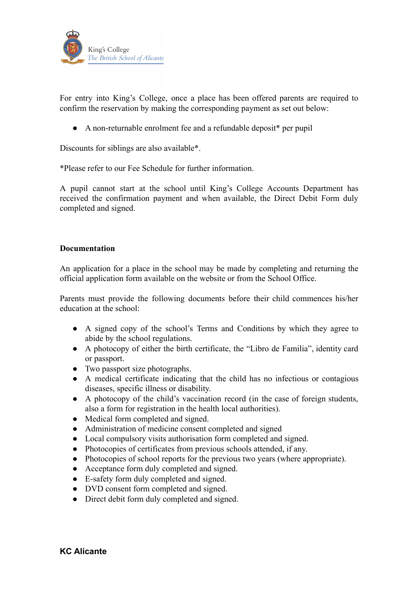

For entry into King's College, once a place has been offered parents are required to confirm the reservation by making the corresponding payment as set out below:

● A non-returnable enrolment fee and a refundable deposit\* per pupil

Discounts for siblings are also available\*.

\*Please refer to our Fee Schedule for further information.

A pupil cannot start at the school until King's College Accounts Department has received the confirmation payment and when available, the Direct Debit Form duly completed and signed.

# **Documentation**

An application for a place in the school may be made by completing and returning the official application form available on the website or from the School Office.

Parents must provide the following documents before their child commences his/her education at the school:

- A signed copy of the school's Terms and Conditions by which they agree to abide by the school regulations.
- A photocopy of either the birth certificate, the "Libro de Familia", identity card or passport.
- Two passport size photographs.
- A medical certificate indicating that the child has no infectious or contagious diseases, specific illness or disability.
- A photocopy of the child's vaccination record (in the case of foreign students, also a form for registration in the health local authorities).
- Medical form completed and signed.
- Administration of medicine consent completed and signed
- Local compulsory visits authorisation form completed and signed.
- Photocopies of certificates from previous schools attended, if any.
- Photocopies of school reports for the previous two years (where appropriate).
- Acceptance form duly completed and signed.
- E-safety form duly completed and signed.
- DVD consent form completed and signed.
- Direct debit form duly completed and signed.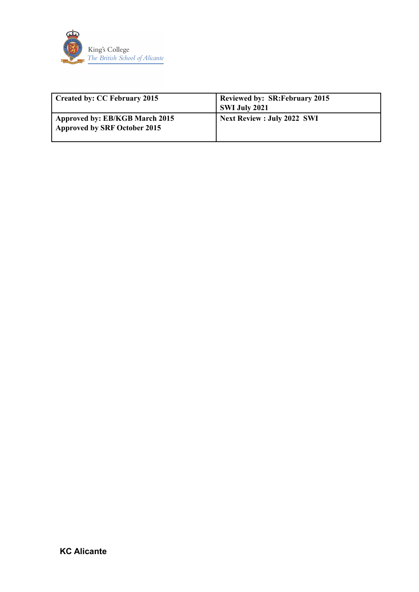

| <b>Created by: CC February 2015</b>                                   | <b>Reviewed by: SR: February 2015</b><br>SWI July 2021 |
|-----------------------------------------------------------------------|--------------------------------------------------------|
| Approved by: EB/KGB March 2015<br><b>Approved by SRF October 2015</b> | <b>Next Review : July 2022 SWI</b>                     |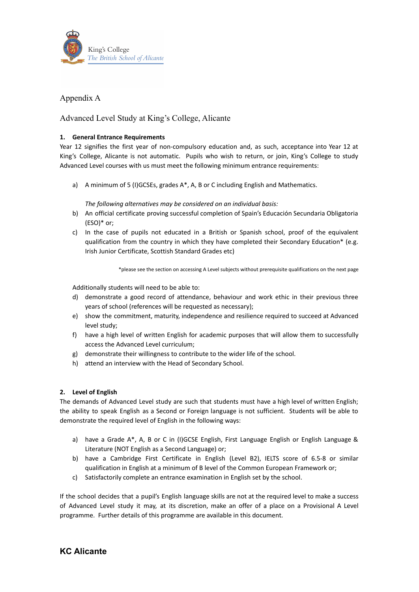

# Appendix A

Advanced Level Study at King's College, Alicante

### **1. General Entrance Requirements**

Year 12 signifies the first year of non-compulsory education and, as such, acceptance into Year 12 at King's College, Alicante is not automatic. Pupils who wish to return, or join, King's College to study Advanced Level courses with us must meet the following minimum entrance requirements:

a) A minimum of 5 (I)GCSEs, grades A\*, A, B or C including English and Mathematics.

*The following alternatives may be considered on an individual basis:*

- b) An official certificate proving successful completion of Spain's Educación Secundaria Obligatoria (ESO)\* or;
- c) In the case of pupils not educated in a British or Spanish school, proof of the equivalent qualification from the country in which they have completed their Secondary Education\* (e.g. Irish Junior Certificate, Scottish Standard Grades etc)

\*please see the section on accessing A Level subjects without prerequisite qualifications on the next page

Additionally students will need to be able to:

- d) demonstrate a good record of attendance, behaviour and work ethic in their previous three years of school (references will be requested as necessary);
- e) show the commitment, maturity, independence and resilience required to succeed at Advanced level study;
- f) have a high level of written English for academic purposes that will allow them to successfully access the Advanced Level curriculum;
- g) demonstrate their willingness to contribute to the wider life of the school.
- h) attend an interview with the Head of Secondary School.

### **2. Level of English**

The demands of Advanced Level study are such that students must have a high level of written English; the ability to speak English as a Second or Foreign language is not sufficient. Students will be able to demonstrate the required level of English in the following ways:

- a) have a Grade A\*, A, B or C in (I)GCSE English, First Language English or English Language & Literature (NOT English as a Second Language) or;
- b) have a Cambridge First Certificate in English (Level B2), IELTS score of 6.5-8 or similar qualification in English at a minimum of B level of the Common European Framework or;
- c) Satisfactorily complete an entrance examination in English set by the school.

If the school decides that a pupil's English language skills are not at the required level to make a success of Advanced Level study it may, at its discretion, make an offer of a place on a Provisional A Level programme. Further details of this programme are available in this document.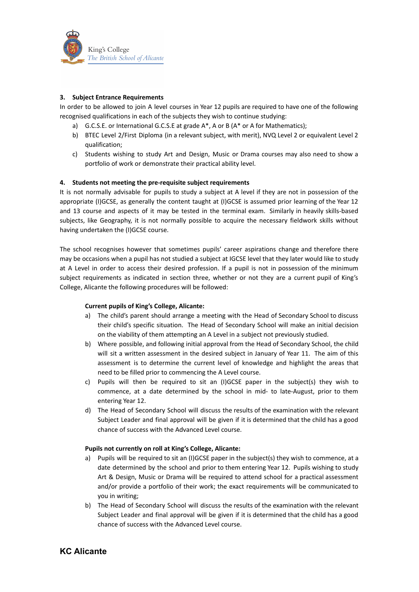

### **3. Subject Entrance Requirements**

In order to be allowed to join A level courses in Year 12 pupils are required to have one of the following recognised qualifications in each of the subjects they wish to continue studying:

- a) G.C.S.E. or International G.C.S.E at grade  $A^*$ , A or B ( $A^*$  or A for Mathematics);
- b) BTEC Level 2/First Diploma (in a relevant subject, with merit), NVQ Level 2 or equivalent Level 2 qualification;
- c) Students wishing to study Art and Design, Music or Drama courses may also need to show a portfolio of work or demonstrate their practical ability level.

#### **4. Students not meeting the pre-requisite subject requirements**

It is not normally advisable for pupils to study a subject at A level if they are not in possession of the appropriate (I)GCSE, as generally the content taught at (I)GCSE is assumed prior learning of the Year 12 and 13 course and aspects of it may be tested in the terminal exam. Similarly in heavily skills-based subjects, like Geography, it is not normally possible to acquire the necessary fieldwork skills without having undertaken the (I)GCSE course.

The school recognises however that sometimes pupils' career aspirations change and therefore there may be occasions when a pupil has not studied a subject at IGCSE level that they later would like to study at A Level in order to access their desired profession. If a pupil is not in possession of the minimum subject requirements as indicated in section three, whether or not they are a current pupil of King's College, Alicante the following procedures will be followed:

#### **Current pupils of King's College, Alicante:**

- a) The child's parent should arrange a meeting with the Head of Secondary School to discuss their child's specific situation. The Head of Secondary School will make an initial decision on the viability of them attempting an A Level in a subject not previously studied.
- b) Where possible, and following initial approval from the Head of Secondary School, the child will sit a written assessment in the desired subject in January of Year 11. The aim of this assessment is to determine the current level of knowledge and highlight the areas that need to be filled prior to commencing the A Level course.
- c) Pupils will then be required to sit an (I)GCSE paper in the subject(s) they wish to commence, at a date determined by the school in mid- to late-August, prior to them entering Year 12.
- d) The Head of Secondary School will discuss the results of the examination with the relevant Subject Leader and final approval will be given if it is determined that the child has a good chance of success with the Advanced Level course.

#### **Pupils not currently on roll at King's College, Alicante:**

- a) Pupils will be required to sit an (I)GCSE paper in the subject(s) they wish to commence, at a date determined by the school and prior to them entering Year 12. Pupils wishing to study Art & Design, Music or Drama will be required to attend school for a practical assessment and/or provide a portfolio of their work; the exact requirements will be communicated to you in writing;
- b) The Head of Secondary School will discuss the results of the examination with the relevant Subject Leader and final approval will be given if it is determined that the child has a good chance of success with the Advanced Level course.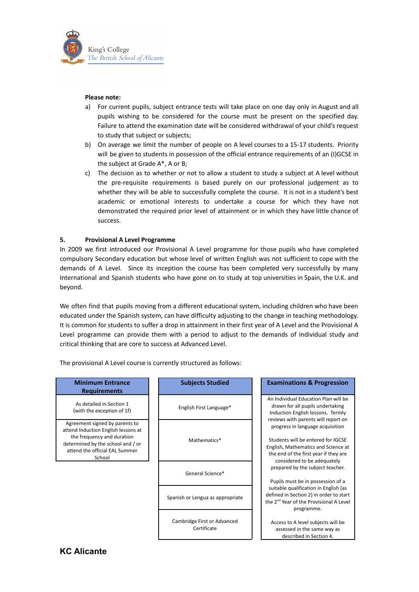

#### **Please note:**

- a) For current pupils, subject entrance tests will take place on one day only in August and all pupils wishing to be considered for the course must be present on the specified day. Failure to attend the examination date will be considered withdrawal of your child's request to study that subject or subjects;
- b) On average we limit the number of people on A level courses to a 15-17 students. Priority will be given to students in possession of the official entrance requirements of an (I)GCSE in the subject at Grade A\*, A or B;
- c) The decision as to whether or not to allow a student to study a subject at A level without the pre-requisite requirements is based purely on our professional judgement as to whether they will be able to successfully complete the course. It is not in a student's best academic or emotional interests to undertake a course for which they have not demonstrated the required prior level of attainment or in which they have little chance of success.

#### **5. Provisional A Level Programme**

In 2009 we first introduced our Provisional A Level programme for those pupils who have completed compulsory Secondary education but whose level of written English was not sufficient to cope with the demands of A Level. Since its inception the course has been completed very successfully by many International and Spanish students who have gone on to study at top universities in Spain, the U.K. and beyond.

We often find that pupils moving from a different educational system, including children who have been educated under the Spanish system, can have difficulty adjusting to the change in teaching methodology. It is common for students to suffer a drop in attainment in their first year of A Level and the Provisional A Level programme can provide them with a period to adjust to the demands of individual study and critical thinking that are core to success at Advanced Level.

The provisional A Level course is currently structured as follows:

# **Minimum Entrance Requirements**

As detailed in Section 1 (with the exception of 1f)

Agreement signed by parents to attend Induction English lessons at the frequency and duration determined by the school and / or attend the official EAL Summer School

| English First Language* |
|-------------------------|
|                         |

Mathematics<sup>\*</sup>

General Science\*

Spanish or Lengua as appropriate

Cambridge First or Advanced Certificate

#### **Subjects Studied Examinations & Progression**

An Individual Education Plan will be drawn for all pupils undertaking Induction English lessons. Termly reviews with parents will report on progress in language acquisition

Students will be entered for IGCSE English, Mathematics and Science at the end of the first year if they are considered to be adequately prepared by the subject teacher.

Pupils must be in possession of a suitable qualification in English (as defined in Section 2) in order to start the 2<sup>nd</sup> Year of the Provisional A Level programme.

Access to A level subjects will be assessed in the same way as described in Section 4.